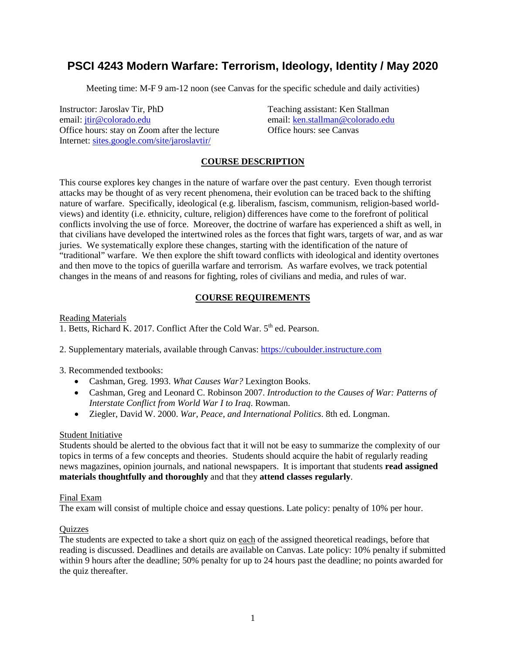# **PSCI 4243 Modern Warfare: Terrorism, Ideology, Identity / May 2020**

Meeting time: M-F 9 am-12 noon (see Canvas for the specific schedule and daily activities)

Instructor: Jaroslav Tir, PhD Teaching assistant: Ken Stallman email: [jtir@colorado.edu](mailto:jtir@colorado.edu) email: [ken.stallman@colorado.edu](mailto:ken.stallman@colorado.edu) Office hours: stay on Zoom after the lecture Office hours: see Canvas Internet: [sites.google.com/site/jaroslavtir/](https://sites.google.com/site/jaroslavtir/)

# **COURSE DESCRIPTION**

This course explores key changes in the nature of warfare over the past century. Even though terrorist attacks may be thought of as very recent phenomena, their evolution can be traced back to the shifting nature of warfare. Specifically, ideological (e.g. liberalism, fascism, communism, religion-based worldviews) and identity (i.e. ethnicity, culture, religion) differences have come to the forefront of political conflicts involving the use of force. Moreover, the doctrine of warfare has experienced a shift as well, in that civilians have developed the intertwined roles as the forces that fight wars, targets of war, and as war juries. We systematically explore these changes, starting with the identification of the nature of "traditional" warfare. We then explore the shift toward conflicts with ideological and identity overtones and then move to the topics of guerilla warfare and terrorism. As warfare evolves, we track potential changes in the means of and reasons for fighting, roles of civilians and media, and rules of war.

## **COURSE REQUIREMENTS**

Reading Materials

1. Betts, Richard K. 2017. Conflict After the Cold War.  $5<sup>th</sup>$  ed. Pearson.

2. Supplementary materials, available through Canvas: [https://cuboulder.instructure.com](https://cuboulder.instructure.com/)

3. Recommended textbooks:

- Cashman, Greg. 1993. *What Causes War?* Lexington Books.
- Cashman, Greg and Leonard C. Robinson 2007. *Introduction to the Causes of War: Patterns of Interstate Conflict from World War I to Iraq*. Rowman.
- Ziegler, David W. 2000. *War, Peace, and International Politics*. 8th ed. Longman.

## Student Initiative

Students should be alerted to the obvious fact that it will not be easy to summarize the complexity of our topics in terms of a few concepts and theories. Students should acquire the habit of regularly reading news magazines, opinion journals, and national newspapers. It is important that students **read assigned materials thoughtfully and thoroughly** and that they **attend classes regularly**.

## Final Exam

The exam will consist of multiple choice and essay questions. Late policy: penalty of 10% per hour.

## **Quizzes**

The students are expected to take a short quiz on each of the assigned theoretical readings, before that reading is discussed. Deadlines and details are available on Canvas. Late policy: 10% penalty if submitted within 9 hours after the deadline; 50% penalty for up to 24 hours past the deadline; no points awarded for the quiz thereafter.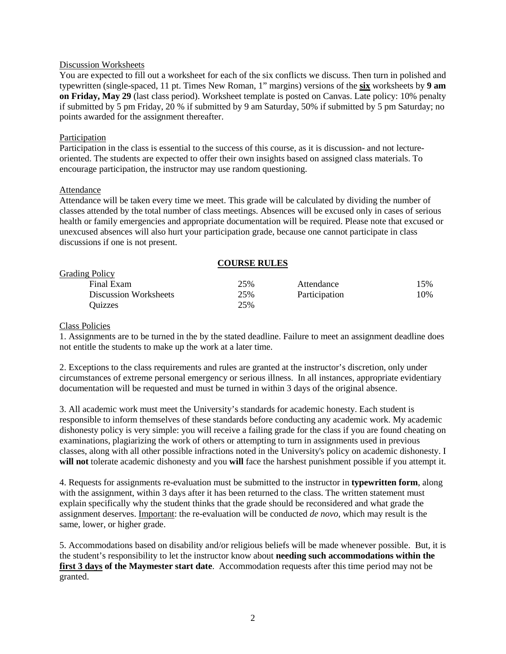#### Discussion Worksheets

You are expected to fill out a worksheet for each of the six conflicts we discuss. Then turn in polished and typewritten (single-spaced, 11 pt. Times New Roman, 1" margins) versions of the **six** worksheets by **9 am on Friday, May 29** (last class period). Worksheet template is posted on Canvas. Late policy: 10% penalty if submitted by 5 pm Friday, 20 % if submitted by 9 am Saturday, 50% if submitted by 5 pm Saturday; no points awarded for the assignment thereafter.

#### Participation

Participation in the class is essential to the success of this course, as it is discussion- and not lectureoriented. The students are expected to offer their own insights based on assigned class materials. To encourage participation, the instructor may use random questioning.

#### Attendance

Attendance will be taken every time we meet. This grade will be calculated by dividing the number of classes attended by the total number of class meetings. Absences will be excused only in cases of serious health or family emergencies and appropriate documentation will be required. Please note that excused or unexcused absences will also hurt your participation grade, because one cannot participate in class discussions if one is not present.

| <b>COURSE RULES</b>          |     |               |     |
|------------------------------|-----|---------------|-----|
| <b>Grading Policy</b>        |     |               |     |
| Final Exam                   | 25% | Attendance    | 15% |
| <b>Discussion Worksheets</b> | 25% | Participation | 10% |
| Ouizzes                      | 25% |               |     |

#### Class Policies

1. Assignments are to be turned in the by the stated deadline. Failure to meet an assignment deadline does not entitle the students to make up the work at a later time.

2. Exceptions to the class requirements and rules are granted at the instructor's discretion, only under circumstances of extreme personal emergency or serious illness. In all instances, appropriate evidentiary documentation will be requested and must be turned in within 3 days of the original absence.

3. All academic work must meet the University's standards for academic honesty. Each student is responsible to inform themselves of these standards before conducting any academic work. My academic dishonesty policy is very simple: you will receive a failing grade for the class if you are found cheating on examinations, plagiarizing the work of others or attempting to turn in assignments used in previous classes, along with all other possible infractions noted in the University's policy on academic dishonesty. I **will not** tolerate academic dishonesty and you **will** face the harshest punishment possible if you attempt it.

4. Requests for assignments re-evaluation must be submitted to the instructor in **typewritten form**, along with the assignment, within 3 days after it has been returned to the class. The written statement must explain specifically why the student thinks that the grade should be reconsidered and what grade the assignment deserves. Important: the re-evaluation will be conducted *de novo*, which may result is the same, lower, or higher grade.

5. Accommodations based on disability and/or religious beliefs will be made whenever possible. But, it is the student's responsibility to let the instructor know about **needing such accommodations within the first 3 days of the Maymester start date**. Accommodation requests after this time period may not be granted.